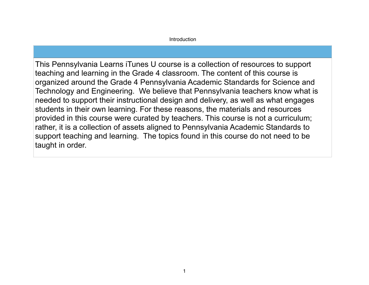## Introduction

This Pennsylvania Learns iTunes U course is a collection of resources to support teaching and learning in the Grade 4 classroom. The content of this course is organized around the Grade 4 Pennsylvania Academic Standards for Science and Technology and Engineering. We believe that Pennsylvania teachers know what is needed to support their instructional design and delivery, as well as what engages students in their own learning. For these reasons, the materials and resources provided in this course were curated by teachers. This course is not a curriculum; rather, it is a collection of assets aligned to Pennsylvania Academic Standards to support teaching and learning. The topics found in this course do not need to be taught in order.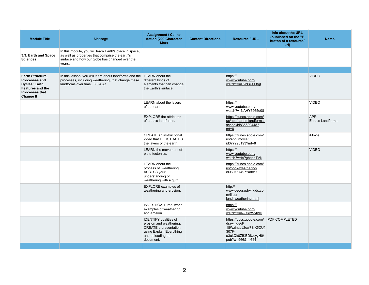| <b>Module Title</b>                                                                                                                             | Message                                                                                                                                                               | <b>Assignment / Call to</b><br><b>Action (200 Character</b><br>Max)                                                                                   | <b>Content Directions</b> | <b>Resource / URL</b>                                                                                               | Info about the URL<br>(published on the "i"<br>button of a resource/<br>url) | <b>Notes</b>                     |
|-------------------------------------------------------------------------------------------------------------------------------------------------|-----------------------------------------------------------------------------------------------------------------------------------------------------------------------|-------------------------------------------------------------------------------------------------------------------------------------------------------|---------------------------|---------------------------------------------------------------------------------------------------------------------|------------------------------------------------------------------------------|----------------------------------|
| 3.3. Earth and Space<br><b>Sciences</b>                                                                                                         | In this module, you will learn Earth's place in space,<br>as well as properties that comprise the earth's<br>surface and how our globe has changed over the<br>years. |                                                                                                                                                       |                           |                                                                                                                     |                                                                              |                                  |
|                                                                                                                                                 |                                                                                                                                                                       |                                                                                                                                                       |                           |                                                                                                                     |                                                                              |                                  |
| <b>Earth Structure,</b><br><b>Processes and</b><br><b>Cycles: Earth</b><br><b>Features and the</b><br><b>Processes that</b><br><b>Change It</b> | In this lesson, you will learn about landforms and the<br>processes, including weathering, that change these<br>landforms over time. 3.3.4.A1.                        | LEARN about the<br>different kinds of<br>elements that can change<br>the Earth's surface.                                                             |                           | https://<br>www.youtube.com/<br>watch?v=H2h6uXIL8gl                                                                 |                                                                              | <b>VIDEO</b>                     |
|                                                                                                                                                 |                                                                                                                                                                       | LEARN about the layers<br>of the earth.                                                                                                               |                           | https://<br>www.youtube.com/<br>watch?v=NAHY6965o08                                                                 |                                                                              | <b>VIDEO</b>                     |
|                                                                                                                                                 |                                                                                                                                                                       | <b>EXPLORE</b> the attributes<br>of earth's landforms.                                                                                                |                           | https://itunes.apple.com/<br>us/app/earths-landforms-<br>school/id835600448?<br>$mt=8$                              |                                                                              | APP:<br><b>Earth's Landforms</b> |
|                                                                                                                                                 |                                                                                                                                                                       | <b>CREATE</b> an instructional<br>video that ILLUSTRATES<br>the layers of the earth.                                                                  |                           | https://itunes.apple.com/<br>us/app/imovie/<br>id377298193?mt=8                                                     |                                                                              | iMovie                           |
|                                                                                                                                                 |                                                                                                                                                                       | <b>LEARN</b> the movement of<br>plate tectonics.                                                                                                      |                           | https://<br>www.youtube.com/<br>watch?v=tcPghqnnTVk                                                                 |                                                                              | <b>VIDEO</b>                     |
|                                                                                                                                                 |                                                                                                                                                                       | <b>LEARN</b> about the<br>process of weathering.<br><b>ASSESS your</b><br>understanding of<br>weathering with a quiz.                                 |                           | https://itunes.apple.com/<br>us/book/weathering/<br>id960167497?mt=11                                               |                                                                              |                                  |
|                                                                                                                                                 |                                                                                                                                                                       | <b>EXPLORE</b> examples of<br>weathering and erosion.                                                                                                 |                           | http://<br>www.geography4kids.co<br>m/files/<br>land weathering.html                                                |                                                                              |                                  |
|                                                                                                                                                 |                                                                                                                                                                       | <b>INVESTIGATE real world</b><br>examples of weathering<br>and erosion.                                                                               |                           | https://<br>www.youtube.com/<br>watch?v=R-lak3Wvh9c                                                                 |                                                                              |                                  |
|                                                                                                                                                 |                                                                                                                                                                       | <b>IDENTIFY</b> qualities of<br>erosion and weathering.<br><b>CREATE a presentation</b><br>using Explain Everything<br>and uploading the<br>document. |                           | https://docs.google.com/<br>drawings/d/<br>18WzinauJ2cw7SiK5DUf<br>307F-<br>a3ukQk0ZIKEDIUcyyH0/<br>pub?w=966&h=644 | <b>PDF COMPLETED</b>                                                         |                                  |
|                                                                                                                                                 |                                                                                                                                                                       |                                                                                                                                                       |                           |                                                                                                                     |                                                                              |                                  |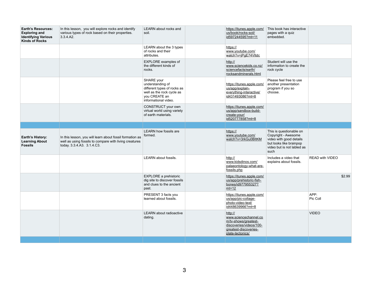| <b>Earth's Resources:</b><br><b>Exploring and</b><br><b>Identifying Various</b><br><b>Kinds of Rocks</b> | In this lesson, you will explore rocks and identify<br>various types of rock based on their properties.<br>3.3.4.A2.                             | <b>LEARN</b> about rocks and<br>soil.                                                                                               | https://itunes.apple.com/<br>us/book/rocks-soil/<br>id597244595?mt=11                                                            |
|----------------------------------------------------------------------------------------------------------|--------------------------------------------------------------------------------------------------------------------------------------------------|-------------------------------------------------------------------------------------------------------------------------------------|----------------------------------------------------------------------------------------------------------------------------------|
|                                                                                                          |                                                                                                                                                  | LEARN about the 3 types<br>of rocks and their<br>attributes.                                                                        | https://<br>www.youtube.com/<br>watch?v=jPgE74VItdc                                                                              |
|                                                                                                          |                                                                                                                                                  | <b>EXPLORE</b> examples of<br>the different kinds of<br>rocks.                                                                      | http://<br>www.sciencekids.co.nz/<br>sciencefacts/earth/<br>rocksandminerals.html                                                |
|                                                                                                          |                                                                                                                                                  | SHARE your<br>understanding of<br>different types of rocks as<br>well as the rock cycle as<br>you CREATE an<br>informational video. | https://itunes.apple.com/<br>us/app/explain-<br>everything-interactive/<br>id431493086?mt=8                                      |
|                                                                                                          |                                                                                                                                                  | CONSTRUCT your own<br>virtual world using variety<br>of earth materials.                                                            | https://itunes.apple.com/<br>us/app/sandbox-build-<br>create-your/<br>id520777858?mt=8                                           |
|                                                                                                          |                                                                                                                                                  |                                                                                                                                     |                                                                                                                                  |
| <b>Earth's History:</b><br><b>Learning About</b><br><b>Fossils</b>                                       | In this lesson, you will learn about fossil formation as<br>well as using fossils to compare with living creatures<br>today. 3.3.4.A3. 3.1.4.C3. | <b>LEARN how fossils are</b><br>formed.                                                                                             | https://<br>www.youtube.com/<br>watch?v=3rkGu0BltKM                                                                              |
|                                                                                                          |                                                                                                                                                  | <b>LEARN</b> about fossils.                                                                                                         | http://<br>www.kidsdinos.com/<br>palaeontology-what-are-                                                                         |
|                                                                                                          |                                                                                                                                                  |                                                                                                                                     | fossils.php                                                                                                                      |
|                                                                                                          |                                                                                                                                                  | <b>EXPLORE a prehistoric</b><br>dig site to discover fossils<br>and clues to the ancient<br>past.                                   | https://itunes.apple.com/<br>us/app/prehistoric-fish-<br>bones/id977955327?<br>$mt=12$                                           |
|                                                                                                          |                                                                                                                                                  | PRESENT 3 facts you<br>learned about fossils.                                                                                       | https://itunes.apple.com/<br>us/app/pic-collage-<br>photo-video-text/<br>id448639966?mt=8                                        |
|                                                                                                          |                                                                                                                                                  | <b>LEARN</b> about radioactive<br>dating.                                                                                           | http://<br>www.sciencechannel.co<br>m/tv-shows/greatest-<br>discoveries/videos/100-<br>greatest-discoveries-<br>plate-tectonics/ |

| m/                                    | This book has interactive<br>pages with a quiz<br>embedded.                              |                        |        |
|---------------------------------------|------------------------------------------------------------------------------------------|------------------------|--------|
|                                       |                                                                                          |                        |        |
| <u>ız/</u><br>L                       | Student will use the<br>informaiton to create the<br>rock cycle                          |                        |        |
| <u>m/</u><br>$\overline{\phantom{a}}$ | Please feel free to use<br>another presentation<br>program if you so<br>choose.          |                        |        |
| <u>m/</u><br>$\overline{\phantom{a}}$ |                                                                                          |                        |        |
|                                       |                                                                                          |                        |        |
|                                       | This is questionable on<br>Copyright - Awesome                                           |                        |        |
| $\overline{\mathsf{M}}$               | video with good details<br>but looks like brainpop<br>video but is not labled as<br>such |                        |        |
| <u>re-</u>                            | Includes a video that<br>explains about fossils.                                         | <b>READ with VIDEO</b> |        |
| <u>m/</u><br>$\overline{ }$           |                                                                                          |                        | \$2.99 |
| <u>m/</u>                             |                                                                                          | APP:<br>Pic Coll       |        |
| <u>co</u><br><u>0-</u>                |                                                                                          | <b>VIDEO</b>           |        |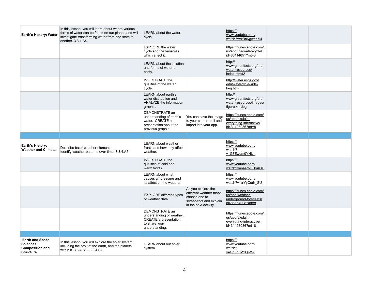| <b>Earth's History: Water</b>                         | In this lesson, you will learn about where various<br>forms of water can be found on our planet, and will<br>investigate transforming water from one state to<br>another. 3.3.4.A4. | <b>LEARN</b> about the water<br>cycle.                                                                         |                                                                                                                  | https://<br>www.youtube.com/<br>watch?v=zBnKgwnn7i4                                         |  |
|-------------------------------------------------------|-------------------------------------------------------------------------------------------------------------------------------------------------------------------------------------|----------------------------------------------------------------------------------------------------------------|------------------------------------------------------------------------------------------------------------------|---------------------------------------------------------------------------------------------|--|
|                                                       |                                                                                                                                                                                     | <b>EXPLORE</b> the water<br>cycle and the variables<br>which affect it.                                        |                                                                                                                  | https://itunes.apple.com/<br>us/app/the-water-cycle/<br>id483114651?mt=8                    |  |
|                                                       |                                                                                                                                                                                     | <b>LEARN</b> about the location<br>and forms of water on<br>earth.                                             |                                                                                                                  | http://<br>www.greenfacts.org/en/<br>water-resources/<br>index.htm#2                        |  |
|                                                       |                                                                                                                                                                                     | <b>INVESTIGATE the</b><br>qualities of the water<br>cycle.                                                     |                                                                                                                  | http://water.usgs.gov/<br>edu/watercycle-kids-<br>beg.html                                  |  |
|                                                       |                                                                                                                                                                                     | <b>LEARN</b> about earth's<br>water distribution and<br><b>ANALYZE</b> the information<br>graphic.             |                                                                                                                  | http://<br>www.greenfacts.org/en/<br>water-resources/images/<br>figure-4-1.jpg              |  |
|                                                       |                                                                                                                                                                                     | DEMONSTRATE an<br>understanding of earth's<br>water. CREATE a<br>presentation about the<br>previous graphic.   | You can save the image<br>to your camera roll and<br>import into your app.                                       | https://itunes.apple.com/<br>us/app/explain-<br>everything-interactive/<br>id431493086?mt=8 |  |
|                                                       |                                                                                                                                                                                     |                                                                                                                |                                                                                                                  |                                                                                             |  |
|                                                       |                                                                                                                                                                                     |                                                                                                                |                                                                                                                  |                                                                                             |  |
| <b>Earth's History:</b><br><b>Weather and Climate</b> | Describe basic weather elements.<br>Identify weather patterns over time. 3.3.4.A5.                                                                                                  | <b>LEARN</b> about weather<br>fronts and how they affect<br>weather.                                           |                                                                                                                  | https://<br>www.youtube.com/<br>watch?<br>v=G7Ewqm0YHUI                                     |  |
|                                                       |                                                                                                                                                                                     | <b>INVESTIGATE the</b><br>qualities of cold and<br>warm fronts.                                                |                                                                                                                  | https://<br>www.youtube.com/<br>watch?v=naarbGHoAGU                                         |  |
|                                                       |                                                                                                                                                                                     | <b>LEARN</b> about what<br>causes air pressure and<br>its affect on the weather.                               |                                                                                                                  | https://<br>www.youtube.com/<br>watch?v=aiYyCurh_SU                                         |  |
|                                                       |                                                                                                                                                                                     | <b>EXPLORE different types</b><br>of weather data.                                                             | As you explore the<br>different weather maps<br>choose one to<br>screenshot and explain<br>in the next activity. | https://itunes.apple.com/<br>us/app/weather-<br>underground-forecasts/<br>id486154808?mt=8  |  |
|                                                       |                                                                                                                                                                                     | DEMONSTRATE an<br>understanding of weather.<br><b>CREATE a presentation</b><br>to share your<br>understanding. |                                                                                                                  | https://itunes.apple.com/<br>us/app/explain-<br>everything-interactive/<br>id431493086?mt=8 |  |
|                                                       |                                                                                                                                                                                     |                                                                                                                |                                                                                                                  |                                                                                             |  |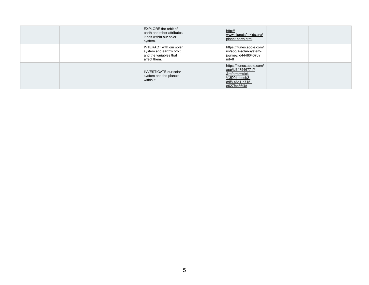| <b>EXPLORE</b> the orbit of<br>earth and other attributes<br>it has within our solar<br>system.      | http://<br>www.planetsforkids.org/<br>planet-earth.html                                                                |
|------------------------------------------------------------------------------------------------------|------------------------------------------------------------------------------------------------------------------------|
| <b>INTERACT with our solar</b><br>system and earth's orbit<br>and the variables that<br>affect them. | https://itunes.apple.com/<br>us/app/a-solar-system-<br>journey/id444804070?<br>$mt=8$                                  |
| <b>INVESTIGATE our solar</b><br>system and the planets<br>within it.                                 | https://itunes.apple.com/<br>app/id347546771?<br>&referrer=click<br>$%3D01$ dbeeb2-<br>cdf8-46c1-b715-<br>e027fbc86f4d |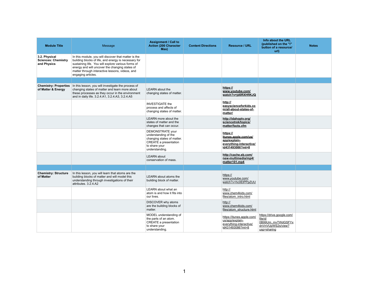| <b>Module Title</b>                                        | Message                                                                                                                                                                                                                                                                                       | <b>Assignment / Call to</b><br><b>Action (200 Character</b><br>Max)                                                                       | <b>Content Directions</b> | <b>Resource / URL</b>                                                                           | Info about the URL<br>(published on the "i"<br>button of a resource/<br>url)                  | <b>Notes</b> |
|------------------------------------------------------------|-----------------------------------------------------------------------------------------------------------------------------------------------------------------------------------------------------------------------------------------------------------------------------------------------|-------------------------------------------------------------------------------------------------------------------------------------------|---------------------------|-------------------------------------------------------------------------------------------------|-----------------------------------------------------------------------------------------------|--------------|
| 3.2. Physical<br><b>Sciences: Chemistry</b><br>and Physics | In this module, you will discover that matter is the<br>building blocks of life, and energy is necessary for<br>sustaining life. You will explore various forms of<br>energy and will uncover the changing states of<br>matter through interactive lessons, videos, and<br>engaging articles. |                                                                                                                                           |                           |                                                                                                 |                                                                                               |              |
|                                                            |                                                                                                                                                                                                                                                                                               |                                                                                                                                           |                           |                                                                                                 |                                                                                               |              |
| <b>Chemistry: Properties</b><br>of Matter & Energy         | In this lesson, you will investigate the process of<br>changing states of matter and learn more about<br>these processes as they occur in the environment<br>and in daily life. 3.2.4.A1, 3.2.4.A3, 3.2.4.A5                                                                                  | <b>LEARN</b> about the<br>changing states of matter.                                                                                      |                           | https://<br>www.youtube.com/<br>watch?v=jd0RXHflKJQ                                             |                                                                                               |              |
|                                                            |                                                                                                                                                                                                                                                                                               | <b>INVESTIGATE the</b><br>process and affects of<br>changing states of matter.                                                            |                           | http://<br>easyscienceforkids.co<br>m/all-about-states-of-<br>matter/                           |                                                                                               |              |
|                                                            |                                                                                                                                                                                                                                                                                               | <b>LEARN</b> more about the<br>states of matter and the<br>changes that can occur.                                                        |                           | http://idahoptv.org/<br>sciencetrek/topics/<br>matter/facts.cfm                                 |                                                                                               |              |
|                                                            |                                                                                                                                                                                                                                                                                               | DEMONSTRATE your<br>understanding of the<br>changing states of matter.<br><b>CREATE a presentation</b><br>to share your<br>understanding. |                           | https://<br>itunes.apple.com/us/<br>app/explain-<br>everything-interactive/<br>id431493086?mt=8 |                                                                                               |              |
|                                                            |                                                                                                                                                                                                                                                                                               | <b>LEARN</b> about<br>conservation of mass.                                                                                               |                           | http://cache.eb.com/<br>new-multimedia/mp4/<br>matter101.mp4                                    |                                                                                               |              |
|                                                            |                                                                                                                                                                                                                                                                                               |                                                                                                                                           |                           |                                                                                                 |                                                                                               |              |
| <b>Chemistry: Structure</b><br>of Matter                   | In this lesson, you will learn that atoms are the<br>building blocks of matter and will model this<br>understanding through investigations of their<br>attributes. 3.2.4.A2                                                                                                                   | <b>LEARN</b> about atoms the<br>building block of matter.                                                                                 |                           | https://<br>www.youtube.com/<br>watch?v=hc0EtPPpZUU                                             |                                                                                               |              |
|                                                            |                                                                                                                                                                                                                                                                                               | LEARN about what an<br>atom is and how it fits into<br>our lives.                                                                         |                           | http://<br>www.chem4kids.com/<br>files/atom intro.html                                          |                                                                                               |              |
|                                                            |                                                                                                                                                                                                                                                                                               | DISCOVER why atoms<br>are the building blocks of<br>matter.                                                                               |                           | http://<br>www.chem4kids.com/<br>files/atom_structure.html                                      |                                                                                               |              |
|                                                            |                                                                                                                                                                                                                                                                                               | MODEL understanding of<br>the parts of an atom.<br><b>CREATE a presentation</b><br>to share your<br>understanding.                        |                           | https://itunes.apple.com/<br>us/app/explain-<br>everything-interactive/<br>id431493086?mt=8     | https://drive.google.com/<br>file/d/<br>0B99Um_mvTWdGSFYx<br>dnVnVUpWS2s/view?<br>usp=sharing |              |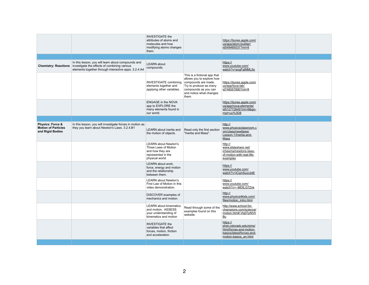|                                                                               |                                                                                                                                                                                        | <b>INVESTIGATE the</b><br>attributes of atoms and<br>molecules and how<br>modifying atoms changes<br>them.       |                                                                                                                                                                        | https://itunes.apple.com/<br>us/app/atom-builder/<br>id549485037?mt=8                                                |  |
|-------------------------------------------------------------------------------|----------------------------------------------------------------------------------------------------------------------------------------------------------------------------------------|------------------------------------------------------------------------------------------------------------------|------------------------------------------------------------------------------------------------------------------------------------------------------------------------|----------------------------------------------------------------------------------------------------------------------|--|
|                                                                               |                                                                                                                                                                                        |                                                                                                                  |                                                                                                                                                                        |                                                                                                                      |  |
|                                                                               | In this lesson, you will learn about compounds and<br><b>Chemistry: Reactions</b> investigate the effects of combining various<br>elements together through interactive apps. 3.2.4.A4 | <b>LEARN</b> about<br>compounds.                                                                                 |                                                                                                                                                                        | https://<br>www.youtube.com/<br>watch?v=avgFqlNML5o                                                                  |  |
|                                                                               |                                                                                                                                                                                        | <b>INVESTIGATE combining</b><br>elements together and<br>applying other variables.                               | This is a fictional app that<br>allows you to explore how<br>compounds are made.<br>Try to produce as many<br>compounds as you can<br>and notice what changes<br>them. | https://itunes.apple.com/<br>us/app/toca-lab/<br>id748057890?mt=8                                                    |  |
|                                                                               |                                                                                                                                                                                        | <b>ENGAGE in the NOVA</b><br>app to EXPLORE the<br>many elements found in<br>our world.                          |                                                                                                                                                                        | https://itunes.apple.com/<br>us/app/nova-elements/<br>id512772649?mt=8&ign-<br>mpt=uo%3D8                            |  |
|                                                                               |                                                                                                                                                                                        |                                                                                                                  |                                                                                                                                                                        |                                                                                                                      |  |
| <b>Physics: Force &amp;</b><br><b>Motion of Particles</b><br>and Rigid Bodies | In this lesson, you will investigate forces in motion as<br>they you learn about Newton's Laws. 3.2.4.B1                                                                               | LEARN about inertia and<br>the motion of objects.                                                                | Read only the first section<br>"Inertia and Mass".                                                                                                                     | http://<br>www.physicsclassroom.c<br>om/class/newtlaws/<br>Lesson-1/Inertia-and-<br><b>Mass</b>                      |  |
|                                                                               |                                                                                                                                                                                        | <b>LEARN about Newton's</b><br>Three Laws of Motion<br>and how they are<br>represented in the<br>physical world. |                                                                                                                                                                        | http://<br>www.slideshare.net/<br>icheema/newtons-laws-<br>of-motion-with-real-life-<br>examples                     |  |
|                                                                               |                                                                                                                                                                                        | LEARN about work,<br>force, energy and motion<br>and the relationship<br>between them.                           |                                                                                                                                                                        | https://<br>www.youtube.com/<br>watch?v=iCqm5uxc2dE                                                                  |  |
|                                                                               |                                                                                                                                                                                        | <b>LEARN about Newton's</b><br>First Law of Motion in this<br>video demonstration.                               |                                                                                                                                                                        | https://<br>www.youtube.com/<br>watch?v=--MDILG7Znk                                                                  |  |
|                                                                               |                                                                                                                                                                                        | DISCOVER examples of<br>mechanics and motion.                                                                    |                                                                                                                                                                        | http://<br>www.physics4kids.com/<br>files/motion intro.html                                                          |  |
|                                                                               |                                                                                                                                                                                        | <b>LEARN</b> about kinematics<br>and motion. ASSESS<br>your understanding of<br>kinematics and motion            | Read through some of the<br>examples found on this<br>website.                                                                                                         | http://www.school-for-<br>champions.com/science/<br>motion.htm#.Vbj07pNVh<br>$\underline{\mathsf{Bc}}$               |  |
|                                                                               |                                                                                                                                                                                        | <b>INVESTIGATE the</b><br>variables that affect<br>forces, motion, friction<br>and acceleration.                 |                                                                                                                                                                        | https://<br>phet.colorado.edu/sims/<br>html/forces-and-motion-<br>basics/latest/forces-and-<br>motion-basics_en.html |  |
|                                                                               |                                                                                                                                                                                        |                                                                                                                  |                                                                                                                                                                        |                                                                                                                      |  |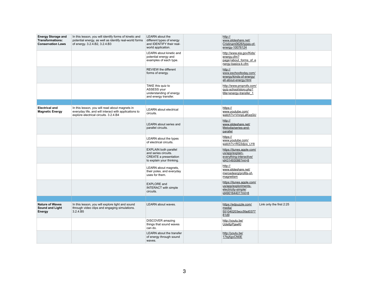| <b>Energy Storage and</b><br><b>Transformations:</b><br><b>Conservation Laws</b> | In this lesson, you will identify forms of kinetic and<br>potential energy, as well as identify real-world forms<br>of energy. 3.2.4.B2, 3.2.4.B3 | <b>LEARN</b> about the<br>different types of energy<br>and IDENTIFY their real-<br>world application.             | http://<br>www.slideshare.net/<br>Cristinam0626/types-of-<br>energy-10076124                 |                          |  |
|----------------------------------------------------------------------------------|---------------------------------------------------------------------------------------------------------------------------------------------------|-------------------------------------------------------------------------------------------------------------------|----------------------------------------------------------------------------------------------|--------------------------|--|
|                                                                                  |                                                                                                                                                   | <b>LEARN</b> about kinetic and<br>potential energy and<br>examples of each type.                                  | http://www.eia.gov/Kids/<br>energy.cfm?<br>page=about forms of e<br>nergy-basics-k.cfm       |                          |  |
|                                                                                  |                                                                                                                                                   | <b>REVIEW the different</b><br>forms of energy.                                                                   | http://<br>www.eschooltoday.com/<br>energy/kinds-of-energy/<br>all-about-energy.html         |                          |  |
|                                                                                  |                                                                                                                                                   | TAKE this quiz to<br>ASSESS your<br>understanding of energy<br>and energy transfer.                               | http://www.proprofs.com/<br>quiz-school/story.php?<br>title=energy-transfer_1                |                          |  |
|                                                                                  |                                                                                                                                                   |                                                                                                                   |                                                                                              |                          |  |
| <b>Electrical and</b><br><b>Magnetic Energy</b>                                  | In this lesson, you will read about magnets in<br>everyday life, and will interact with applications to<br>explore electrical circuits. 3.2.4.B4  | <b>LEARN</b> about electrical<br>circuits.                                                                        | https://<br>www.youtube.com/<br>watch?v=VnnpLaKsqGU                                          |                          |  |
|                                                                                  |                                                                                                                                                   | <b>LEARN</b> about series and<br>parallel circuits.                                                               | http://<br>www.slideshare.net/<br>Melodia/series-and-<br>parallel                            |                          |  |
|                                                                                  |                                                                                                                                                   | LEARN about the types<br>of electrical circuits.                                                                  | https://<br>www.youtube.com/<br>watch?v=RQ3djos LY8                                          |                          |  |
|                                                                                  |                                                                                                                                                   | <b>EXPLAIN both parallel</b><br>and series circuits.<br><b>CREATE a presentation</b><br>to explain your thinking. | https://itunes.apple.com/<br>us/app/explain-<br>everything-interactive/<br>id431493086?mt=8  |                          |  |
|                                                                                  |                                                                                                                                                   | LEARN about magnets,<br>their poles, and everyday<br>uses for them.                                               | http://<br>www.slideshare.net/<br>mercedesrg/profits-of-<br>magnetism                        |                          |  |
|                                                                                  |                                                                                                                                                   | <b>EXPLORE</b> and<br><b>INTERACT with simple</b><br>circuits.                                                    | https://itunes.apple.com/<br>us/app/exploriments-<br>electricity-simple/<br>id490164401?mt=8 |                          |  |
|                                                                                  |                                                                                                                                                   |                                                                                                                   |                                                                                              |                          |  |
| <b>Nature of Waves</b><br><b>Sound and Light</b><br><b>Energy</b>                | In this lesson, you will explore light and sound<br>through video clips and engaging simulations.<br>3.2.4.B5                                     | <b>LEARN</b> about waves.                                                                                         | https://edpuzzle.com/<br>media/<br>551040203ecc5fad0377<br>81d9                              | Link only the first 2:25 |  |
|                                                                                  |                                                                                                                                                   | <b>DISCOVER</b> amazing<br>things that sound waves<br>can do.                                                     | http://youtu.be/<br>Ude8pPjawKI                                                              |                          |  |
|                                                                                  |                                                                                                                                                   | <b>LEARN</b> about the transfer<br>of energy through sound<br>waves.                                              | http://youtu.be/<br>17tqXgvCN0E                                                              |                          |  |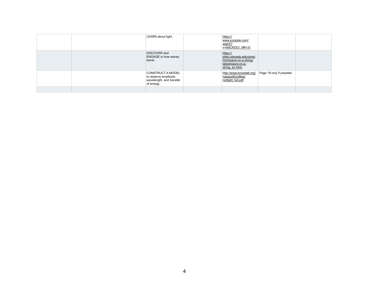| LEARN about light.                                                                          | https://<br>www.youtube.com/<br>watch?<br>v=iletCKDCt 0#t=31                                         |                          |  |
|---------------------------------------------------------------------------------------------|------------------------------------------------------------------------------------------------------|--------------------------|--|
| <b>DISCOVER</b> and<br><b>ENGAGE in how waves</b><br>travel.                                | https://<br>phet.colorado.edu/sims/<br>html/wave-on-a-string/<br>latest/wave-on-a-<br>string en.html |                          |  |
| <b>CONSTRUCT A MODEL</b><br>to observe amplitude,<br>wavelength, and transfer<br>of energy. | http://www.knowitall.org/<br>nasa/pdf/scifiles/<br>redlight full.pdf                                 | Page 19 only if possible |  |
|                                                                                             |                                                                                                      |                          |  |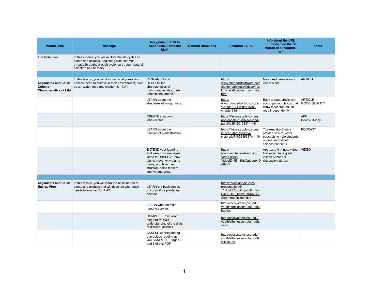| <b>Module Title</b>                                                     | <b>Message</b>                                                                                                                                                                   | <b>Assignment / Call to</b><br><b>Action (200 Character</b><br>Max)                                                                                                               | <b>Content Directions</b> | <b>Resource / URL</b>                                                                                                 | Info about the URL<br>(published on the "i"<br>button of a resource/<br>ur <sub>l</sub>                              | <b>Notes</b>                          |
|-------------------------------------------------------------------------|----------------------------------------------------------------------------------------------------------------------------------------------------------------------------------|-----------------------------------------------------------------------------------------------------------------------------------------------------------------------------------|---------------------------|-----------------------------------------------------------------------------------------------------------------------|----------------------------------------------------------------------------------------------------------------------|---------------------------------------|
| <b>Life Sciences</b>                                                    | In this module, you will explore the life cycles of<br>plants and animals, beginning with common<br>threads throughout each cycle, up through natural<br>selection and heredity. |                                                                                                                                                                                   |                           |                                                                                                                       |                                                                                                                      |                                       |
|                                                                         |                                                                                                                                                                                  |                                                                                                                                                                                   |                           |                                                                                                                       |                                                                                                                      |                                       |
| <b>Organisms and Cells:</b><br>Common<br><b>Characteristics of Life</b> | In this lesson, you will discover what plants and<br>animals need to survive in their environment, such<br>as air, water, food and shelter. 3.1.4.A1                             | <b>RESEARCH</b> and<br><b>RECORD</b> the<br>characteristics of<br>mammals, reptiles, birds,<br>amphibians, and fish.                                                              |                           | http://<br>www.sheppardsoftware.com<br>/content/animals/kidscorner/<br>kc classification mammals.<br>htm              | May need permission to<br>use this site.                                                                             | <b>ARTICLE</b>                        |
|                                                                         |                                                                                                                                                                                  | <b>LEARN</b> about the<br>structures of living things.                                                                                                                            |                           | http://<br>www.thunderboltkids.co.za/<br>Grade4/01-life-and-living/<br>chapter2.html                                  | Easy to read article with<br>accompaning photos that<br>allow most students to<br>read independently                 | <b>ARTICLE</b><br><b>GOOD QUALITY</b> |
|                                                                         |                                                                                                                                                                                  | CREATE your own<br>labeled plant.                                                                                                                                                 |                           | https://itunes.apple.com/us/<br>app/doodle-buddy-for-ipad-<br>paint/id364201083?mt=8                                  |                                                                                                                      | <b>APP</b><br>Doodle Buddy-           |
|                                                                         |                                                                                                                                                                                  | <b>LEARN</b> about the<br>function of plant structure                                                                                                                             |                           | https://itunes.apple.com/us/<br>itunes-u/the-amoeba-<br>sisters/id718923638?mt=10                                     | The Amoeba Sisters<br>provide several other<br>popcasts to help students<br>understand diffcult<br>science concepts. | <b>PODCAST</b>                        |
|                                                                         |                                                                                                                                                                                  | <b>EXTEND</b> your learning<br>and view this time-lapse<br>video to OBSERVE how<br>plants move, why plants<br>move, and how their<br>structure helps them to<br>survive and grow. |                           | http://<br>www.watchknowlearn.org/<br><u>Video.aspx?</u><br>VideoID=56480&CategoryID<br>$=6202$                       | Approx. a 4 minute video<br>that would be a great<br>lesson opener or<br>discussion starter.                         | <b>VIDEO</b>                          |
|                                                                         |                                                                                                                                                                                  |                                                                                                                                                                                   |                           |                                                                                                                       |                                                                                                                      |                                       |
| <b>Organisms and Cells:</b><br><b>Energy Flow</b>                       | In this lesson, you will learn the basic needs of<br>plants and animals and will describe what each<br>needs to survive. 3.1.4.A2                                                | <b>LEARN</b> the basic needs<br>of survival for plants and<br>animals.                                                                                                            |                           | https://docs.google.com/<br>presentation/d/<br>11HpzUf7uoG6 ju0GfmDc-<br>C4OKDiZi_RQmBsRbnGEF<br>Sg/embed?slide=id.i0 |                                                                                                                      |                                       |
|                                                                         |                                                                                                                                                                                  | <b>LEARN</b> what animals<br>need to survive.                                                                                                                                     |                           | http://ecosystems.psu.edu/<br>youth/sftrc/lesson-plan-pdfs/<br>habitat                                                |                                                                                                                      |                                       |
|                                                                         |                                                                                                                                                                                  | <b>COMPLETE this Venn</b><br>diagram MODEL<br>understanding of the diets<br>of different animals                                                                                  |                           | http://ecosystems.psu.edu/<br>youth/sftrc/lesson-plan-pdfs/<br>venn                                                   |                                                                                                                      |                                       |
|                                                                         |                                                                                                                                                                                  | ASSESS understanding<br>of previous reading as<br>you COMPLETE pages 7<br>and 8 of this PDF.                                                                                      |                           | http://ecosystems.psu.edu/<br>youth/sftrc/lesson-plan-pdfs/<br>wildlife-all                                           |                                                                                                                      |                                       |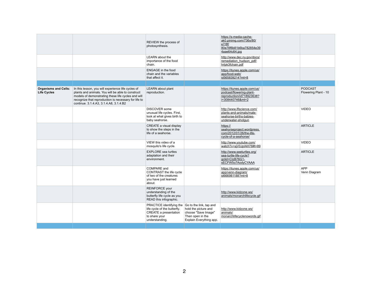|                                                   |                                                                                                                                                                                                                                                                 | REVIEW the process of<br>photosynthesis.                                                                                                            |                                                                                            | https://s-media-cache-<br>ak0.pinimg.com/736x/80/<br>e7/8f/<br>80e78f6b81b6ba782854e39<br>4aae64c64.jpg   |                                        |
|---------------------------------------------------|-----------------------------------------------------------------------------------------------------------------------------------------------------------------------------------------------------------------------------------------------------------------|-----------------------------------------------------------------------------------------------------------------------------------------------------|--------------------------------------------------------------------------------------------|-----------------------------------------------------------------------------------------------------------|----------------------------------------|
|                                                   |                                                                                                                                                                                                                                                                 | <b>LEARN</b> about the<br>importance of the food<br>chain.                                                                                          |                                                                                            | http://www.dec.ny.gov/docs/<br>remediation hudson pdf/<br>hrlpk3fchain.pdf                                |                                        |
|                                                   |                                                                                                                                                                                                                                                                 | <b>ENGAGE</b> in the food<br>chain and the variables<br>that affect it.                                                                             |                                                                                            | https://itunes.apple.com/us/<br>app/food-web/<br>id565839214?mt=8                                         |                                        |
|                                                   |                                                                                                                                                                                                                                                                 |                                                                                                                                                     |                                                                                            |                                                                                                           |                                        |
| <b>Organisms and Cells:</b><br><b>Life Cycles</b> | In this lesson, you will experience life cycles of<br>plants and animals. You will be able to construct<br>models of demonstrating these life cycles and will<br>recognize that reproduction is necessary for life to<br>continue. 3.1.4.A3, 3.1.4.A8, 3.1.4.B2 | <b>LEARN</b> about plant<br>reproduction.                                                                                                           |                                                                                            | https://itunes.apple.com/us/<br>podcast/flowering-plant-<br>reproduction/id718923638?<br>i=308440746&mt=2 | <b>PODCAST</b><br>Flowering Plant - 10 |
|                                                   |                                                                                                                                                                                                                                                                 | <b>DISCOVER</b> some<br>unusual life cycles. First,<br>look at what gives birth to<br>baby seahorse.                                                |                                                                                            | http://www.iflscience.com/<br>plants-and-animals/male-<br>seahorse-births-babies-<br>underwater-shotgun   | <b>VIDEO</b>                           |
|                                                   |                                                                                                                                                                                                                                                                 | <b>CREATE a visual display</b><br>to show the steps in the<br>life of a seahorse.                                                                   |                                                                                            | https://<br>seahorseproject.wordpress.<br>com/2012/01/26/the-life-<br>cycle-of-a-seahorse/                | <b>ARTICLE</b>                         |
|                                                   |                                                                                                                                                                                                                                                                 | VIEW this video of a<br>mosquito's life cycle.                                                                                                      |                                                                                            | http://www.youtube.com/<br>watch?v=sjV0JpIAH78#t=89                                                       | <b>VIDEO</b>                           |
|                                                   |                                                                                                                                                                                                                                                                 | <b>EXPLORE</b> sea turtles<br>adaptation and their<br>environment.                                                                                  |                                                                                            | http://www.seeturtles.org/<br>sea-turtle-life-cycle?<br>gclid=ClzB76G1-<br>sECFW5o7AodyCYAAA              | <b>ARTICLE</b>                         |
|                                                   |                                                                                                                                                                                                                                                                 | <b>COMPARE</b> and<br><b>CONTRAST the life cycle</b><br>of two of the creatures<br>you have just learned<br>about.                                  |                                                                                            | https://itunes.apple.com/us/<br>app/venn-diagram/<br>id666981188?mt=8                                     | <b>APP</b><br>Venn Diagram             |
|                                                   |                                                                                                                                                                                                                                                                 | <b>REINFORCE</b> your<br>understanding of the<br>butterfly life cycle as you<br>READ this infographic.                                              |                                                                                            | http://www.kidzone.ws/<br>animals/monarchlifecycle.gif                                                    |                                        |
|                                                   |                                                                                                                                                                                                                                                                 | PRACTICE identifying the Go to the link, tap and<br>life cycle of the butterfly.<br><b>CREATE a presentation</b><br>to share your<br>understanding. | hold the picture and<br>choose "Save Image"<br>Then open in the<br>Explain Everything app. | http://www.kidzone.ws/<br>animals/<br>monarchlifecyclenowords.gif                                         |                                        |
|                                                   |                                                                                                                                                                                                                                                                 |                                                                                                                                                     |                                                                                            |                                                                                                           |                                        |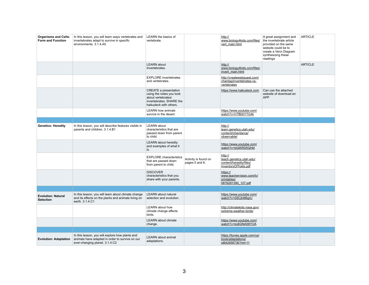| <b>Organisms and Cells:</b><br><b>Form and Function</b> | In this lesson, you will learn ways vertebrates and<br>invertebrates adapt to survive in specific<br>environments. 3.1.4.A5          | <b>LEARN</b> the basics of<br>vertebrate.                                                                                            |                                        | http://<br>www.biology4kids.com/files/<br>vert_main.html                                | A great assignment and<br>the invertebrate article<br>provided on the same<br>website could be to<br>create a Venn Diagram<br>synthesizing these<br>readings | <b>ARTICLE</b> |
|---------------------------------------------------------|--------------------------------------------------------------------------------------------------------------------------------------|--------------------------------------------------------------------------------------------------------------------------------------|----------------------------------------|-----------------------------------------------------------------------------------------|--------------------------------------------------------------------------------------------------------------------------------------------------------------|----------------|
|                                                         |                                                                                                                                      | <b>LEARN</b> about<br>Invertebrates.                                                                                                 |                                        | http://<br>www.biology4kids.com/files/<br>invert main.html                              |                                                                                                                                                              | <b>ARTICLE</b> |
|                                                         |                                                                                                                                      | <b>EXPLORE</b> invertebrates<br>and vertebrates.                                                                                     |                                        | http://createwebquest.com/<br>chantag/invertebrates-vs-<br>vertebrates                  |                                                                                                                                                              |                |
|                                                         |                                                                                                                                      | <b>CREATE a presentation</b><br>using the notes you took<br>about vertebrates/<br>invertebrates. SHARE the<br>haikudeck with others. |                                        | https://www.haikudeck.com                                                               | Can use the attached<br>website of download an<br><b>APP</b>                                                                                                 |                |
|                                                         |                                                                                                                                      | <b>LEARN how animals</b><br>survive in the desert.                                                                                   |                                        | https://www.youtube.com/<br>watch?v=hTfBSIYTG4k                                         |                                                                                                                                                              |                |
| <b>Genetics: Heredity</b>                               | In this lesson, you will describe features visible in<br>parents and children. 3.1.4.B1                                              | <b>LEARN</b> about<br>characteristics that are<br>passed down from parent<br>to child.                                               |                                        | http://<br>learn.genetics.utah.edu/<br>content/inheritance/<br>observable/              |                                                                                                                                                              |                |
|                                                         |                                                                                                                                      | <b>LEARN</b> about heredity<br>and examples of what it<br>is.                                                                        |                                        | https://www.youtube.com/<br>watch?v=bGiKRD5QHkl                                         |                                                                                                                                                              |                |
|                                                         |                                                                                                                                      | <b>EXPLORE</b> characteristics<br>that are passed down<br>from parent to child.                                                      | Activity is found on<br>pages 5 and 6. | http://<br>teach.genetics.utah.edu/<br>content/heredity/files/<br>InventoryOfTraits.pdf |                                                                                                                                                              |                |
|                                                         |                                                                                                                                      | <b>DISCOVER</b><br>characteristics that you<br>share with your parents.                                                              |                                        | https://<br>www.teachervision.com/tv/<br>printables/<br>0876281390_127.pdf              |                                                                                                                                                              |                |
|                                                         |                                                                                                                                      |                                                                                                                                      |                                        |                                                                                         |                                                                                                                                                              |                |
| <b>Evolution: Natural</b><br><b>Selection</b>           | In this lesson, you will learn about climate change<br>and its effects on the plants and animals living on<br>earth. 3.1.4.C1        | <b>LEARN</b> about natural<br>selection and evolution.                                                                               |                                        | https://www.youtube.com/<br>watch?v=0SCjhl86grU                                         |                                                                                                                                                              |                |
|                                                         |                                                                                                                                      | <b>LEARN</b> about how<br>climate change affects<br>birds.                                                                           |                                        | http://climatekids.nasa.gov/<br>extreme-weather-birds/                                  |                                                                                                                                                              |                |
|                                                         |                                                                                                                                      | <b>LEARN</b> about climate<br>change.                                                                                                |                                        | https://www.youtube.com/<br>watch?v=ko6GNA58YOA                                         |                                                                                                                                                              |                |
|                                                         |                                                                                                                                      |                                                                                                                                      |                                        |                                                                                         |                                                                                                                                                              |                |
| <b>Evolution: Adaptation</b>                            | In this lesson, you will explore how plants and<br>animals have adapted in order to survive on our<br>ever-changing planet. 3.1.4.C2 | <b>LEARN</b> about animal<br>adaptations.                                                                                            |                                        | https://itunes.apple.com/us/<br>book/adaptations/<br>id642658736?mt=11                  |                                                                                                                                                              |                |